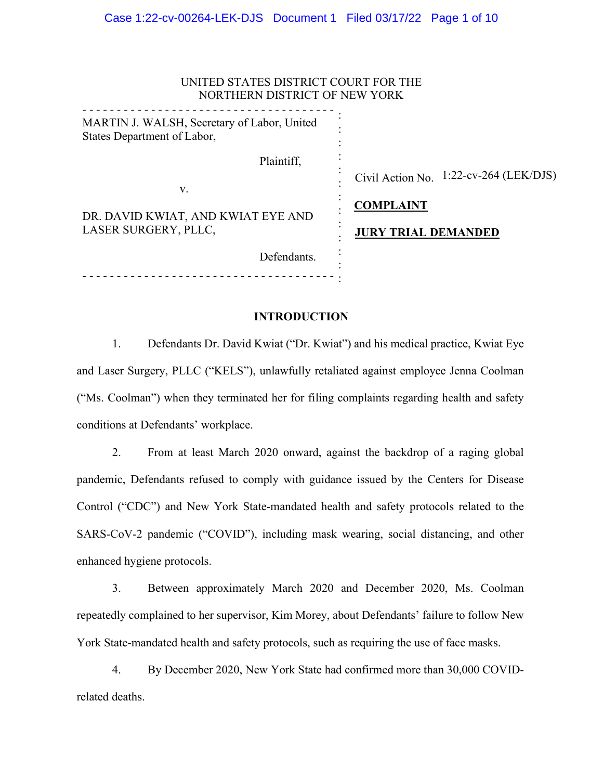| UNITED STATES DISTRICT COURT FOR THE<br>NORTHERN DISTRICT OF NEW YORK      |                                                            |
|----------------------------------------------------------------------------|------------------------------------------------------------|
| MARTIN J. WALSH, Secretary of Labor, United<br>States Department of Labor, |                                                            |
| Plaintiff,<br>V.                                                           | Civil Action No. 1:22-cv-264 (LEK/DJS)<br><b>COMPLAINT</b> |
| DR. DAVID KWIAT, AND KWIAT EYE AND<br>LASER SURGERY, PLLC,                 | <b>JURY TRIAL DEMANDED</b>                                 |
| Defendants.                                                                |                                                            |

# **INTRODUCTION**

1. Defendants Dr. David Kwiat ("Dr. Kwiat") and his medical practice, Kwiat Eye and Laser Surgery, PLLC ("KELS"), unlawfully retaliated against employee Jenna Coolman ("Ms. Coolman") when they terminated her for filing complaints regarding health and safety conditions at Defendants' workplace.

2. From at least March 2020 onward, against the backdrop of a raging global pandemic, Defendants refused to comply with guidance issued by the Centers for Disease Control ("CDC") and New York State-mandated health and safety protocols related to the SARS-CoV-2 pandemic ("COVID"), including mask wearing, social distancing, and other enhanced hygiene protocols.

3. Between approximately March 2020 and December 2020, Ms. Coolman repeatedly complained to her supervisor, Kim Morey, about Defendants' failure to follow New York State-mandated health and safety protocols, such as requiring the use of face masks.

4. By December 2020, New York State had confirmed more than 30,000 COVIDrelated deaths.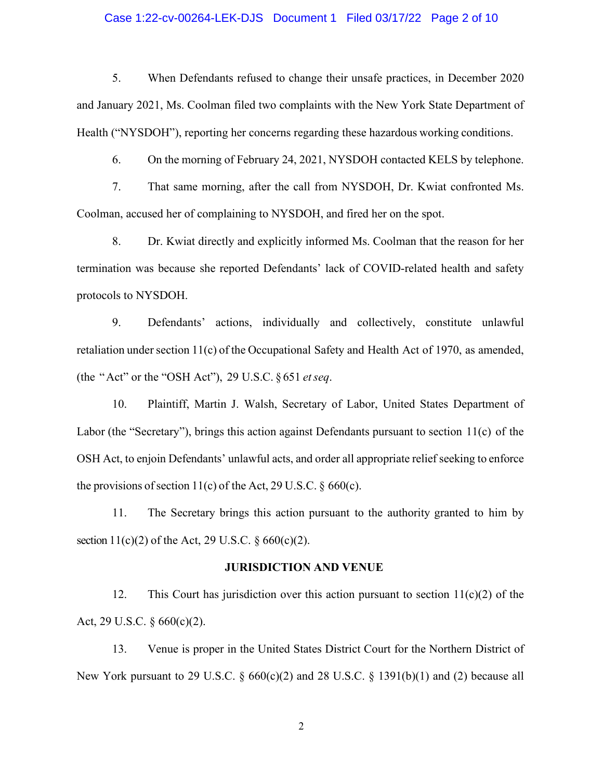### Case 1:22-cv-00264-LEK-DJS Document 1 Filed 03/17/22 Page 2 of 10

5. When Defendants refused to change their unsafe practices, in December 2020 and January 2021, Ms. Coolman filed two complaints with the New York State Department of Health ("NYSDOH"), reporting her concerns regarding these hazardous working conditions.

6. On the morning of February 24, 2021, NYSDOH contacted KELS by telephone.

7. That same morning, after the call from NYSDOH, Dr. Kwiat confronted Ms. Coolman, accused her of complaining to NYSDOH, and fired her on the spot.

8. Dr. Kwiat directly and explicitly informed Ms. Coolman that the reason for her termination was because she reported Defendants' lack of COVID-related health and safety protocols to NYSDOH.

9. Defendants' actions, individually and collectively, constitute unlawful retaliation under section 11(c) of the Occupational Safety and Health Act of 1970, as amended, (the "Act" or the "OSH Act"), 29 U.S.C. § 651 *etseq*.

10. Plaintiff, Martin J. Walsh, Secretary of Labor, United States Department of Labor (the "Secretary"), brings this action against Defendants pursuant to section 11(c) of the OSH Act, to enjoin Defendants' unlawful acts, and order all appropriate relief seeking to enforce the provisions of section 11(c) of the Act, 29 U.S.C.  $\S$  660(c).

11. The Secretary brings this action pursuant to the authority granted to him by section  $11(c)(2)$  of the Act, 29 U.S.C. § 660(c)(2).

#### **JURISDICTION AND VENUE**

12. This Court has jurisdiction over this action pursuant to section  $11(c)(2)$  of the Act, 29 U.S.C. § 660(c)(2).

13. Venue is proper in the United States District Court for the Northern District of New York pursuant to 29 U.S.C.  $\S$  660(c)(2) and 28 U.S.C.  $\S$  1391(b)(1) and (2) because all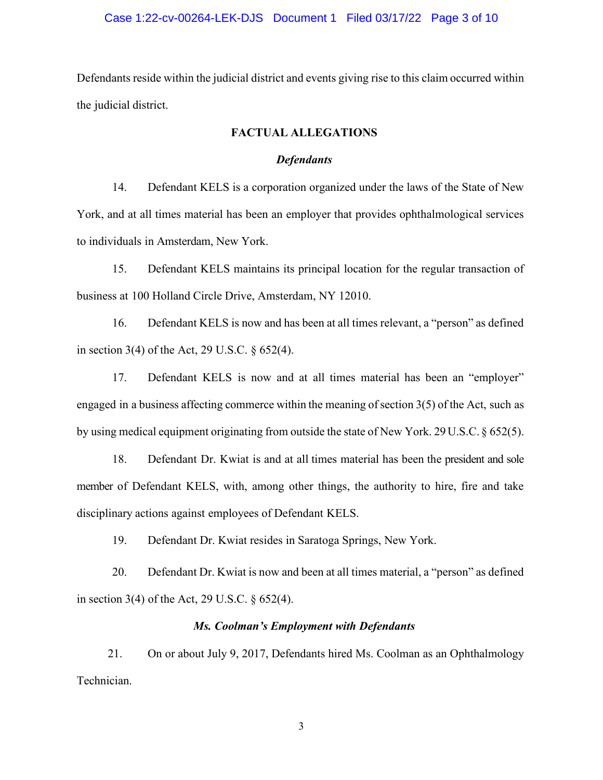### Case 1:22-cv-00264-LEK-DJS Document 1 Filed 03/17/22 Page 3 of 10

Defendants reside within the judicial district and events giving rise to this claim occurred within the judicial district.

# **FACTUAL ALLEGATIONS**

### *Defendants*

14. Defendant KELS is a corporation organized under the laws of the State of New York, and at all times material has been an employer that provides ophthalmological services to individuals in Amsterdam, New York.

15. Defendant KELS maintains its principal location for the regular transaction of business at 100 Holland Circle Drive, Amsterdam, NY 12010.

16. Defendant KELS is now and has been at all times relevant, a "person" as defined in section 3(4) of the Act, 29 U.S.C. § 652(4).

17. Defendant KELS is now and at all times material has been an "employer" engaged in a business affecting commerce within the meaning of section  $3(5)$  of the Act, such as by using medical equipment originating from outside the state of New York. 29 U.S.C. § 652(5).

18. Defendant Dr. Kwiat is and at all times material has been the president and sole member of Defendant KELS, with, among other things, the authority to hire, fire and take disciplinary actions against employees of Defendant KELS.

19. Defendant Dr. Kwiat resides in Saratoga Springs, New York.

20. Defendant Dr. Kwiat is now and been at all times material, a "person" as defined in section 3(4) of the Act, 29 U.S.C.  $\S 652(4)$ .

### *Ms. Coolman's Employment with Defendants*

21. On or about July 9, 2017, Defendants hired Ms. Coolman as an Ophthalmology Technician.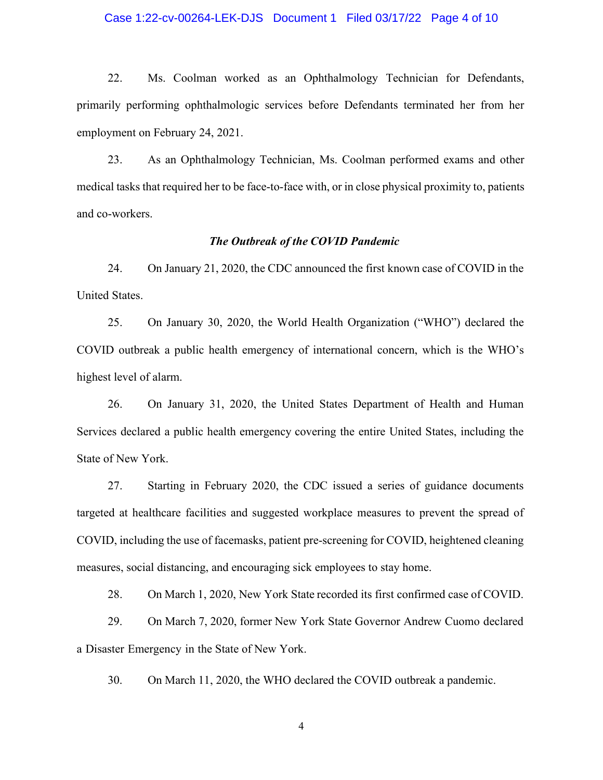### Case 1:22-cv-00264-LEK-DJS Document 1 Filed 03/17/22 Page 4 of 10

22. Ms. Coolman worked as an Ophthalmology Technician for Defendants, primarily performing ophthalmologic services before Defendants terminated her from her employment on February 24, 2021.

23. As an Ophthalmology Technician, Ms. Coolman performed exams and other medical tasks that required her to be face-to-face with, or in close physical proximity to, patients and co-workers.

### *The Outbreak of the COVID Pandemic*

24. On January 21, 2020, the CDC announced the first known case of COVID in the United States.

25. On January 30, 2020, the World Health Organization ("WHO") declared the COVID outbreak a public health emergency of international concern, which is the WHO's highest level of alarm.

26. On January 31, 2020, the United States Department of Health and Human Services declared a public health emergency covering the entire United States, including the State of New York.

27. Starting in February 2020, the CDC issued a series of guidance documents targeted at healthcare facilities and suggested workplace measures to prevent the spread of COVID, including the use of facemasks, patient pre-screening for COVID, heightened cleaning measures, social distancing, and encouraging sick employees to stay home.

28. On March 1, 2020, New York State recorded its first confirmed case of COVID.

29. On March 7, 2020, former New York State Governor Andrew Cuomo declared a Disaster Emergency in the State of New York.

30. On March 11, 2020, the WHO declared the COVID outbreak a pandemic.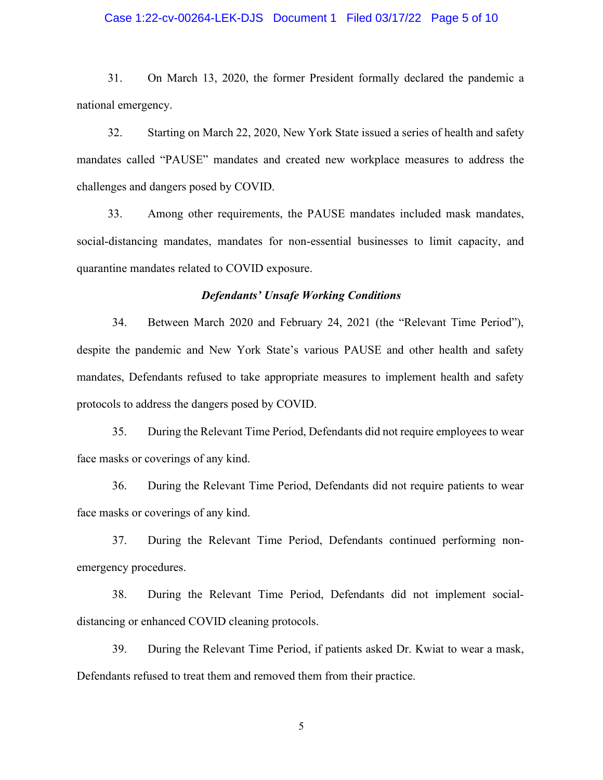### Case 1:22-cv-00264-LEK-DJS Document 1 Filed 03/17/22 Page 5 of 10

31. On March 13, 2020, the former President formally declared the pandemic a national emergency.

32. Starting on March 22, 2020, New York State issued a series of health and safety mandates called "PAUSE" mandates and created new workplace measures to address the challenges and dangers posed by COVID.

33. Among other requirements, the PAUSE mandates included mask mandates, social-distancing mandates, mandates for non-essential businesses to limit capacity, and quarantine mandates related to COVID exposure.

### *Defendants' Unsafe Working Conditions*

34. Between March 2020 and February 24, 2021 (the "Relevant Time Period"), despite the pandemic and New York State's various PAUSE and other health and safety mandates, Defendants refused to take appropriate measures to implement health and safety protocols to address the dangers posed by COVID.

35. During the Relevant Time Period, Defendants did not require employees to wear face masks or coverings of any kind.

36. During the Relevant Time Period, Defendants did not require patients to wear face masks or coverings of any kind.

37. During the Relevant Time Period, Defendants continued performing nonemergency procedures.

38. During the Relevant Time Period, Defendants did not implement socialdistancing or enhanced COVID cleaning protocols.

39. During the Relevant Time Period, if patients asked Dr. Kwiat to wear a mask, Defendants refused to treat them and removed them from their practice.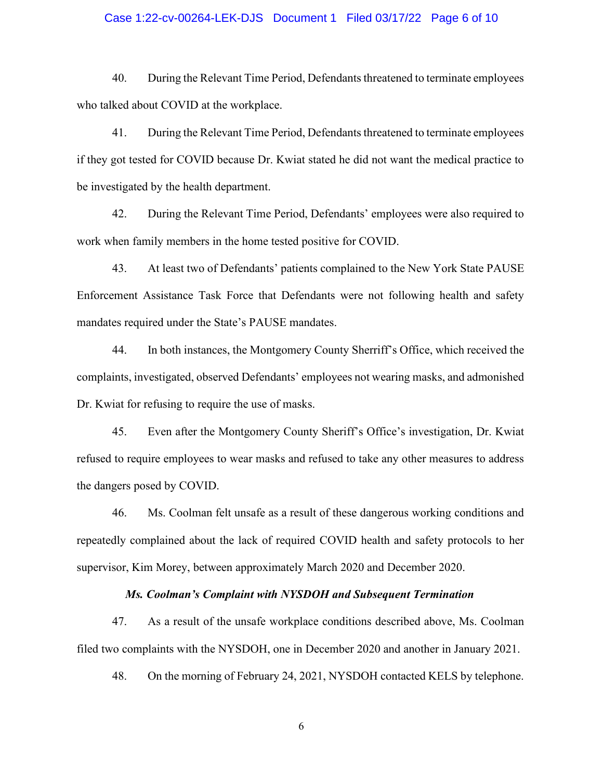### Case 1:22-cv-00264-LEK-DJS Document 1 Filed 03/17/22 Page 6 of 10

40. During the Relevant Time Period, Defendants threatened to terminate employees who talked about COVID at the workplace.

41. During the Relevant Time Period, Defendants threatened to terminate employees if they got tested for COVID because Dr. Kwiat stated he did not want the medical practice to be investigated by the health department.

42. During the Relevant Time Period, Defendants' employees were also required to work when family members in the home tested positive for COVID.

43. At least two of Defendants' patients complained to the New York State PAUSE Enforcement Assistance Task Force that Defendants were not following health and safety mandates required under the State's PAUSE mandates.

44. In both instances, the Montgomery County Sherriff's Office, which received the complaints, investigated, observed Defendants' employees not wearing masks, and admonished Dr. Kwiat for refusing to require the use of masks.

45. Even after the Montgomery County Sheriff's Office's investigation, Dr. Kwiat refused to require employees to wear masks and refused to take any other measures to address the dangers posed by COVID.

46. Ms. Coolman felt unsafe as a result of these dangerous working conditions and repeatedly complained about the lack of required COVID health and safety protocols to her supervisor, Kim Morey, between approximately March 2020 and December 2020.

#### *Ms. Coolman's Complaint with NYSDOH and Subsequent Termination*

47. As a result of the unsafe workplace conditions described above, Ms. Coolman filed two complaints with the NYSDOH, one in December 2020 and another in January 2021.

48. On the morning of February 24, 2021, NYSDOH contacted KELS by telephone.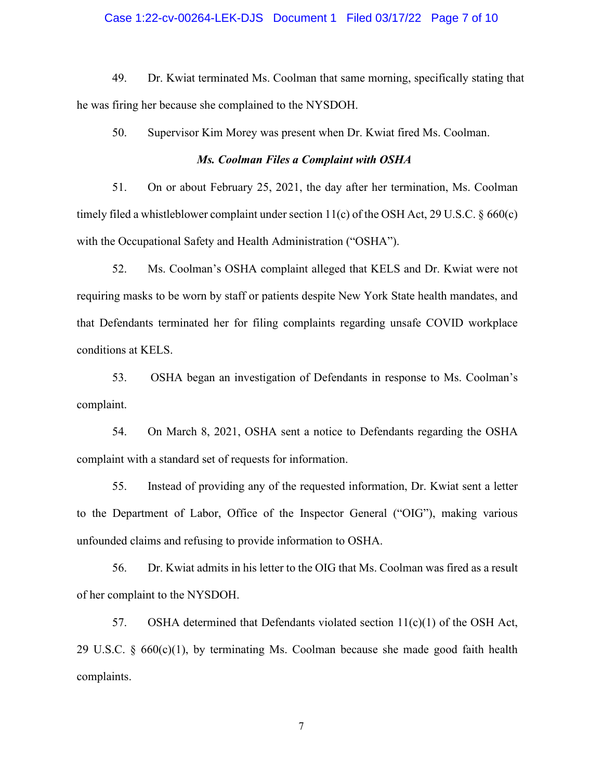### Case 1:22-cv-00264-LEK-DJS Document 1 Filed 03/17/22 Page 7 of 10

49. Dr. Kwiat terminated Ms. Coolman that same morning, specifically stating that he was firing her because she complained to the NYSDOH.

50. Supervisor Kim Morey was present when Dr. Kwiat fired Ms. Coolman.

### *Ms. Coolman Files a Complaint with OSHA*

51. On or about February 25, 2021, the day after her termination, Ms. Coolman timely filed a whistleblower complaint under section  $11(c)$  of the OSH Act, 29 U.S.C.  $\frac{660(c)}{c}$ with the Occupational Safety and Health Administration ("OSHA").

52. Ms. Coolman's OSHA complaint alleged that KELS and Dr. Kwiat were not requiring masks to be worn by staff or patients despite New York State health mandates, and that Defendants terminated her for filing complaints regarding unsafe COVID workplace conditions at KELS.

53. OSHA began an investigation of Defendants in response to Ms. Coolman's complaint.

54. On March 8, 2021, OSHA sent a notice to Defendants regarding the OSHA complaint with a standard set of requests for information.

55. Instead of providing any of the requested information, Dr. Kwiat sent a letter to the Department of Labor, Office of the Inspector General ("OIG"), making various unfounded claims and refusing to provide information to OSHA.

56. Dr. Kwiat admits in his letter to the OIG that Ms. Coolman was fired as a result of her complaint to the NYSDOH.

57. OSHA determined that Defendants violated section 11(c)(1) of the OSH Act, 29 U.S.C. § 660(c)(1), by terminating Ms. Coolman because she made good faith health complaints.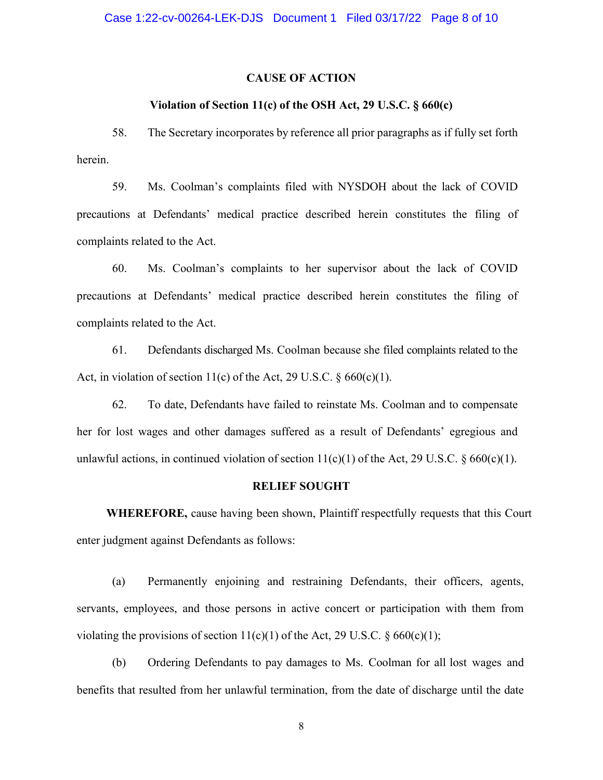### **CAUSE OF ACTION**

### **Violation of Section 11(c) of the OSH Act, 29 U.S.C. § 660(c)**

58. The Secretary incorporates by reference all prior paragraphs as if fully set forth herein.

59. Ms. Coolman's complaints filed with NYSDOH about the lack of COVID precautions at Defendants' medical practice described herein constitutes the filing of complaints related to the Act.

60. Ms. Coolman's complaints to her supervisor about the lack of COVID precautions at Defendants' medical practice described herein constitutes the filing of complaints related to the Act.

61. Defendants discharged Ms. Coolman because she filed complaints related to the Act, in violation of section 11(c) of the Act, 29 U.S.C.  $\S 660(c)(1)$ .

62. To date, Defendants have failed to reinstate Ms. Coolman and to compensate her for lost wages and other damages suffered as a result of Defendants' egregious and unlawful actions, in continued violation of section  $11(c)(1)$  of the Act, 29 U.S.C. § 660(c)(1).

#### **RELIEF SOUGHT**

**WHEREFORE,** cause having been shown, Plaintiff respectfully requests that this Court enter judgment against Defendants as follows:

(a) Permanently enjoining and restraining Defendants, their officers, agents, servants, employees, and those persons in active concert or participation with them from violating the provisions of section  $11(c)(1)$  of the Act, 29 U.S.C. § 660(c)(1);

(b) Ordering Defendants to pay damages to Ms. Coolman for all lost wages and benefits that resulted from her unlawful termination, from the date of discharge until the date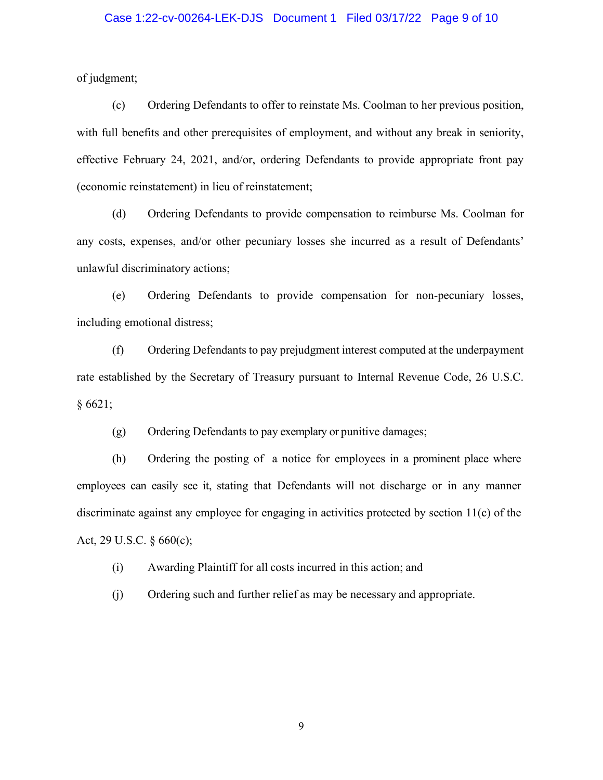### Case 1:22-cv-00264-LEK-DJS Document 1 Filed 03/17/22 Page 9 of 10

of judgment;

(c) Ordering Defendants to offer to reinstate Ms. Coolman to her previous position, with full benefits and other prerequisites of employment, and without any break in seniority, effective February 24, 2021, and/or, ordering Defendants to provide appropriate front pay (economic reinstatement) in lieu of reinstatement;

(d) Ordering Defendants to provide compensation to reimburse Ms. Coolman for any costs, expenses, and/or other pecuniary losses she incurred as a result of Defendants' unlawful discriminatory actions;

(e) Ordering Defendants to provide compensation for non-pecuniary losses, including emotional distress;

(f) Ordering Defendants to pay prejudgment interest computed at the underpayment rate established by the Secretary of Treasury pursuant to Internal Revenue Code, 26 U.S.C. § 6621;

(g) Ordering Defendants to pay exemplary or punitive damages;

(h) Ordering the posting of a notice for employees in a prominent place where employees can easily see it, stating that Defendants will not discharge or in any manner discriminate against any employee for engaging in activities protected by section 11(c) of the Act, 29 U.S.C. § 660(c);

(i) Awarding Plaintiff for all costs incurred in this action; and

(j) Ordering such and further relief as may be necessary and appropriate.